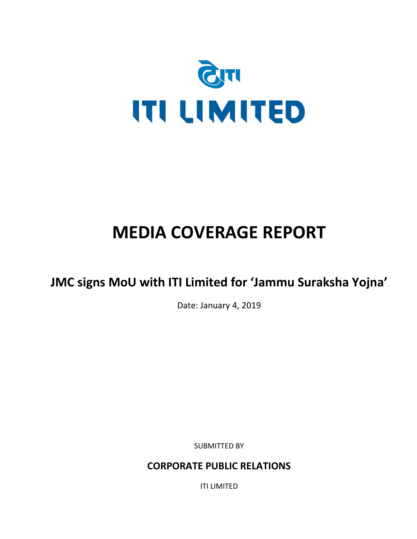

# **MEDIA COVERAGE REPORT**

**JMC signs MoU with ITI Limited for 'Jammu Suraksha Yojna'**

Date: January 4, 2019

SUBMITTED BY

**CORPORATE PUBLIC RELATIONS**

ITI LIMITED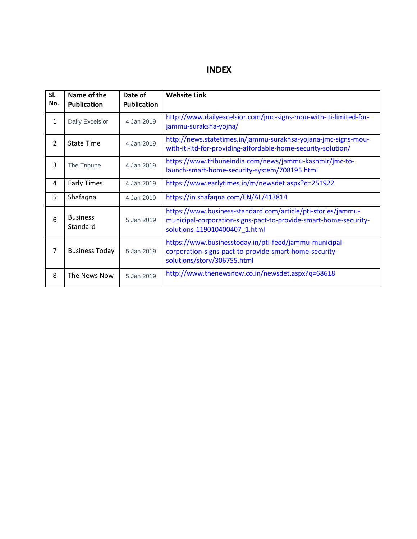### **INDEX**

| SI.<br>No.     | Name of the<br><b>Publication</b> | Date of<br><b>Publication</b> | <b>Website Link</b>                                                                                                                                               |
|----------------|-----------------------------------|-------------------------------|-------------------------------------------------------------------------------------------------------------------------------------------------------------------|
| $\mathbf{1}$   | Daily Excelsior                   | 4 Jan 2019                    | http://www.dailyexcelsior.com/jmc-signs-mou-with-iti-limited-for-<br>jammu-suraksha-yojna/                                                                        |
| $\overline{2}$ | <b>State Time</b>                 | 4 Jan 2019                    | http://news.statetimes.in/jammu-surakhsa-yojana-jmc-signs-mou-<br>with-iti-ltd-for-providing-affordable-home-security-solution/                                   |
| 3              | The Tribune                       | 4 Jan 2019                    | https://www.tribuneindia.com/news/jammu-kashmir/jmc-to-<br>launch-smart-home-security-system/708195.html                                                          |
| 4              | <b>Early Times</b>                | 4 Jan 2019                    | https://www.earlytimes.in/m/newsdet.aspx?q=251922                                                                                                                 |
| 5              | Shafaqna                          | 4 Jan 2019                    | https://in.shafaqna.com/EN/AL/413814                                                                                                                              |
| 6              | <b>Business</b><br>Standard       | 5 Jan 2019                    | https://www.business-standard.com/article/pti-stories/jammu-<br>municipal-corporation-signs-pact-to-provide-smart-home-security-<br>solutions-119010400407_1.html |
| 7              | <b>Business Today</b>             | 5 Jan 2019                    | https://www.businesstoday.in/pti-feed/jammu-municipal-<br>corporation-signs-pact-to-provide-smart-home-security-<br>solutions/story/306755.html                   |
| 8              | The News Now                      | 5 Jan 2019                    | http://www.thenewsnow.co.in/newsdet.aspx?q=68618                                                                                                                  |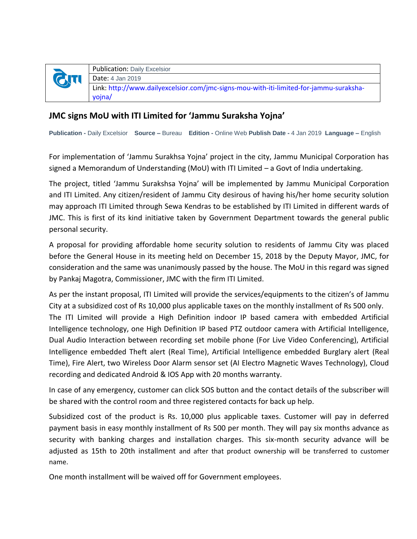|            | <b>Publication: Daily Excelsior</b>                                                    |
|------------|----------------------------------------------------------------------------------------|
| <b>QTI</b> | <b>Date: 4 Jan 2019</b>                                                                |
|            | Link: http://www.dailyexcelsior.com/jmc-signs-mou-with-iti-limited-for-jammu-suraksha- |
|            | voina/                                                                                 |

#### **JMC signs MoU with ITI Limited for 'Jammu Suraksha Yojna'**

**Publication -** Daily Excelsior **Source –** Bureau **Edition -** Online Web **Publish Date -** 4 Jan 2019 **Language –** English

For implementation of 'Jammu Surakhsa Yojna' project in the city, Jammu Municipal Corporation has signed a Memorandum of Understanding (MoU) with ITI Limited – a Govt of India undertaking.

The project, titled 'Jammu Surakshsa Yojna' will be implemented by Jammu Municipal Corporation and ITI Limited. Any citizen/resident of Jammu City desirous of having his/her home security solution may approach ITI Limited through Sewa Kendras to be established by ITI Limited in different wards of JMC. This is first of its kind initiative taken by Government Department towards the general public personal security.

A proposal for providing affordable home security solution to residents of Jammu City was placed before the General House in its meeting held on December 15, 2018 by the Deputy Mayor, JMC, for consideration and the same was unanimously passed by the house. The MoU in this regard was signed by Pankaj Magotra, Commissioner, JMC with the firm ITI Limited.

As per the instant proposal, ITI Limited will provide the services/equipments to the citizen's of Jammu City at a subsidized cost of Rs 10,000 plus applicable taxes on the monthly installment of Rs 500 only. The ITI Limited will provide a High Definition indoor IP based camera with embedded Artificial Intelligence technology, one High Definition IP based PTZ outdoor camera with Artificial Intelligence, Dual Audio Interaction between recording set mobile phone (For Live Video Conferencing), Artificial Intelligence embedded Theft alert (Real Time), Artificial Intelligence embedded Burglary alert (Real Time), Fire Alert, two Wireless Door Alarm sensor set (AI Electro Magnetic Waves Technology), Cloud recording and dedicated Android & IOS App with 20 months warranty.

In case of any emergency, customer can click SOS button and the contact details of the subscriber will be shared with the control room and three registered contacts for back up help.

Subsidized cost of the product is Rs. 10,000 plus applicable taxes. Customer will pay in deferred payment basis in easy monthly installment of Rs 500 per month. They will pay six months advance as security with banking charges and installation charges. This six-month security advance will be adjusted as 15th to 20th installment and after that product ownership will be transferred to customer name.

One month installment will be waived off for Government employees.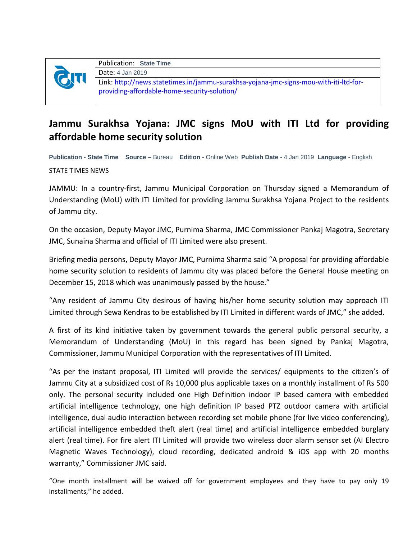

Publication: **State Time** Date: 4 Jan 2019 Link: [http://news.statetimes.in/jammu-surakhsa-yojana-jmc-signs-mou-with-iti-ltd-for](http://news.statetimes.in/jammu-surakhsa-yojana-jmc-signs-mou-with-iti-ltd-for-providing-affordable-home-security-solution/)[providing-affordable-home-security-solution/](http://news.statetimes.in/jammu-surakhsa-yojana-jmc-signs-mou-with-iti-ltd-for-providing-affordable-home-security-solution/)

## **Jammu Surakhsa Yojana: JMC signs MoU with ITI Ltd for providing affordable home security solution**

**Publication - State Time Source –** Bureau **Edition -** Online Web **Publish Date -** 4 Jan 2019 **Language -** English STATE TIMES NEWS

JAMMU: In a country-first, Jammu Municipal Corporation on Thursday signed a Memorandum of Understanding (MoU) with ITI Limited for providing Jammu Surakhsa Yojana Project to the residents of Jammu city.

On the occasion, Deputy Mayor JMC, Purnima Sharma, JMC Commissioner Pankaj Magotra, Secretary JMC, Sunaina Sharma and official of ITI Limited were also present.

Briefing media persons, Deputy Mayor JMC, Purnima Sharma said "A proposal for providing affordable home security solution to residents of Jammu city was placed before the General House meeting on December 15, 2018 which was unanimously passed by the house."

"Any resident of Jammu City desirous of having his/her home security solution may approach ITI Limited through Sewa Kendras to be established by ITI Limited in different wards of JMC," she added.

A first of its kind initiative taken by government towards the general public personal security, a Memorandum of Understanding (MoU) in this regard has been signed by Pankaj Magotra, Commissioner, Jammu Municipal Corporation with the representatives of ITI Limited.

"As per the instant proposal, ITI Limited will provide the services/ equipments to the citizen's of Jammu City at a subsidized cost of Rs 10,000 plus applicable taxes on a monthly installment of Rs 500 only. The personal security included one High Definition indoor IP based camera with embedded artificial intelligence technology, one high definition IP based PTZ outdoor camera with artificial intelligence, dual audio interaction between recording set mobile phone (for live video conferencing), artificial intelligence embedded theft alert (real time) and artificial intelligence embedded burglary alert (real time). For fire alert ITI Limited will provide two wireless door alarm sensor set (AI Electro Magnetic Waves Technology), cloud recording, dedicated android & iOS app with 20 months warranty," Commissioner JMC said.

"One month installment will be waived off for government employees and they have to pay only 19 installments," he added.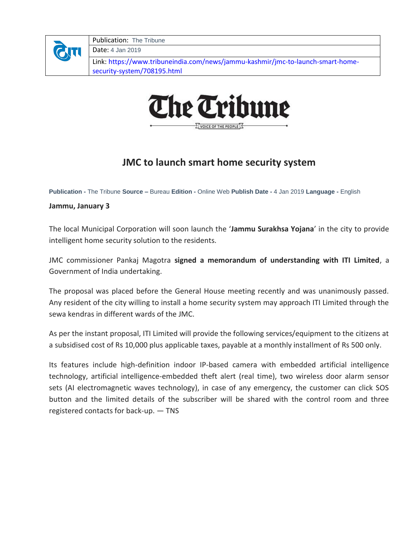

Publication: The Tribune

Date: 4 Jan 2019

Link: [https://www.tribuneindia.com/news/jammu-kashmir/jmc-to-launch-smart-home](https://www.tribuneindia.com/news/jammu-kashmir/jmc-to-launch-smart-home-security-system/708195.html)[security-system/708195.html](https://www.tribuneindia.com/news/jammu-kashmir/jmc-to-launch-smart-home-security-system/708195.html)



## **JMC to launch smart home security system**

**Publication -** The Tribune **Source –** Bureau **Edition -** Online Web **Publish Date -** 4 Jan 2019 **Language -** English

#### **Jammu, January 3**

The local Municipal Corporation will soon launch the '**Jammu Surakhsa Yojana**' in the city to provide intelligent home security solution to the residents.

JMC commissioner Pankaj Magotra **signed a memorandum of understanding with ITI Limited**, a Government of India undertaking.

The proposal was placed before the General House meeting recently and was unanimously passed. Any resident of the city willing to install a home security system may approach ITI Limited through the sewa kendras in different wards of the JMC.

As per the instant proposal, ITI Limited will provide the following services/equipment to the citizens at a subsidised cost of Rs 10,000 plus applicable taxes, payable at a monthly installment of Rs 500 only.

Its features include high-definition indoor IP-based camera with embedded artificial intelligence technology, artificial intelligence-embedded theft alert (real time), two wireless door alarm sensor sets (AI electromagnetic waves technology), in case of any emergency, the customer can click SOS button and the limited details of the subscriber will be shared with the control room and three registered contacts for back-up. — TNS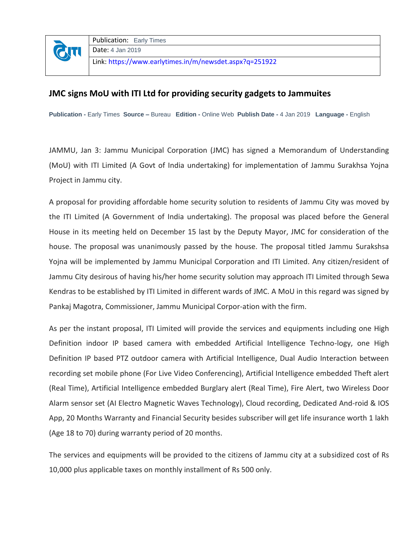

Link:<https://www.earlytimes.in/m/newsdet.aspx?q=251922>

#### **JMC signs MoU with ITI Ltd for providing security gadgets to Jammuites**

**Publication -** Early Times **Source –** Bureau **Edition -** Online Web **Publish Date -** 4 Jan 2019 **Language -** English

JAMMU, Jan 3: Jammu Municipal Corporation (JMC) has signed a Memorandum of Understanding (MoU) with ITI Limited (A Govt of India undertaking) for implementation of Jammu Surakhsa Yojna Project in Jammu city.

A proposal for providing affordable home security solution to residents of Jammu City was moved by the ITI Limited (A Government of India undertaking). The proposal was placed before the General House in its meeting held on December 15 last by the Deputy Mayor, JMC for consideration of the house. The proposal was unanimously passed by the house. The proposal titled Jammu Surakshsa Yojna will be implemented by Jammu Municipal Corporation and ITI Limited. Any citizen/resident of Jammu City desirous of having his/her home security solution may approach ITI Limited through Sewa Kendras to be established by ITI Limited in different wards of JMC. A MoU in this regard was signed by Pankaj Magotra, Commissioner, Jammu Municipal Corpor-ation with the firm.

As per the instant proposal, ITI Limited will provide the services and equipments including one High Definition indoor IP based camera with embedded Artificial Intelligence Techno-logy, one High Definition IP based PTZ outdoor camera with Artificial Intelligence, Dual Audio Interaction between recording set mobile phone (For Live Video Conferencing), Artificial Intelligence embedded Theft alert (Real Time), Artificial Intelligence embedded Burglary alert (Real Time), Fire Alert, two Wireless Door Alarm sensor set (AI Electro Magnetic Waves Technology), Cloud recording, Dedicated And-roid & IOS App, 20 Months Warranty and Financial Security besides subscriber will get life insurance worth 1 lakh (Age 18 to 70) during warranty period of 20 months.

The services and equipments will be provided to the citizens of Jammu city at a subsidized cost of Rs 10,000 plus applicable taxes on monthly installment of Rs 500 only.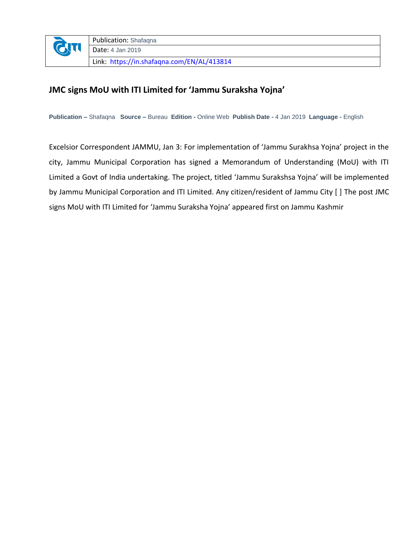

Link: <https://in.shafaqna.com/EN/AL/413814>

#### **JMC signs MoU with ITI Limited for 'Jammu Suraksha Yojna'**

**Publication –** Shafaqna **Source –** Bureau **Edition -** Online Web **Publish Date -** 4 Jan 2019 **Language -** English

Excelsior Correspondent JAMMU, Jan 3: For implementation of 'Jammu Surakhsa Yojna' project in the city, Jammu Municipal Corporation has signed a Memorandum of Understanding (MoU) with ITI Limited a Govt of India undertaking. The project, titled 'Jammu Surakshsa Yojna' will be implemented by Jammu Municipal Corporation and ITI Limited. Any citizen/resident of Jammu City [ ] The post JMC signs MoU with ITI Limited for 'Jammu Suraksha Yojna' appeared first on Jammu Kashmir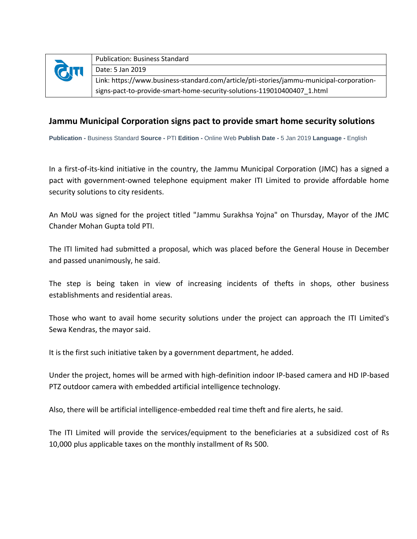|     | <b>Publication: Business Standard</b>                                                    |
|-----|------------------------------------------------------------------------------------------|
| QTI | Date: 5 Jan 2019                                                                         |
|     | Link: https://www.business-standard.com/article/pti-stories/jammu-municipal-corporation- |
|     | signs-pact-to-provide-smart-home-security-solutions-119010400407 1.html                  |

#### **Jammu Municipal Corporation signs pact to provide smart home security solutions**

**Publication -** Business Standard **Source -** PTI **Edition -** Online Web **Publish Date -** 5 Jan 2019 **Language -** English

In a first-of-its-kind initiative in the country, the Jammu Municipal Corporation (JMC) has a signed a pact with government-owned telephone equipment maker ITI Limited to provide affordable home security solutions to city residents.

An MoU was signed for the project titled "Jammu Surakhsa Yojna" on Thursday, Mayor of the JMC Chander Mohan Gupta told PTI.

The ITI limited had submitted a proposal, which was placed before the General House in December and passed unanimously, he said.

The step is being taken in view of increasing incidents of thefts in shops, other business establishments and residential areas.

Those who want to avail home security solutions under the project can approach the ITI Limited's Sewa Kendras, the mayor said.

It is the first such initiative taken by a government department, he added.

Under the project, homes will be armed with high-definition indoor IP-based camera and HD IP-based PTZ outdoor camera with embedded artificial intelligence technology.

Also, there will be artificial intelligence-embedded real time theft and fire alerts, he said.

The ITI Limited will provide the services/equipment to the beneficiaries at a subsidized cost of Rs 10,000 plus applicable taxes on the monthly installment of Rs 500.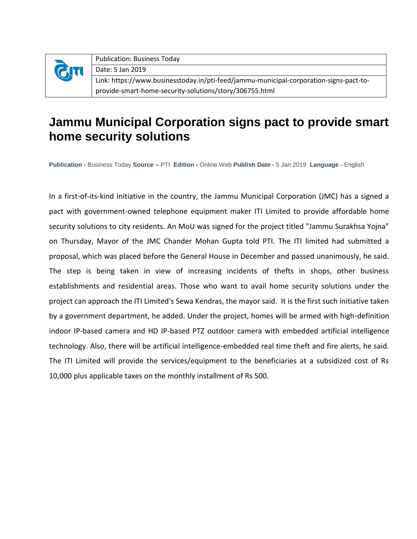

# **Jammu Municipal Corporation signs pact to provide smart home security solutions**

**Publication -** Business Today **Source –** PTI **Edition -** Online Web **Publish Date -** 5 Jan 2019 **Language -** English

In a first-of-its-kind initiative in the country, the Jammu Municipal Corporation (JMC) has a signed a pact with government-owned telephone equipment maker ITI Limited to provide affordable home security solutions to city residents. An MoU was signed for the project titled "Jammu Surakhsa Yojna" on Thursday, Mayor of the JMC Chander Mohan Gupta told PTI. The ITI limited had submitted a proposal, which was placed before the General House in December and passed unanimously, he said. The step is being taken in view of increasing incidents of thefts in shops, other business establishments and residential areas. Those who want to avail home security solutions under the project can approach the ITI Limited's Sewa Kendras, the mayor said. It is the first such initiative taken by a government department, he added. Under the project, homes will be armed with high-definition indoor IP-based camera and HD IP-based PTZ outdoor camera with embedded artificial intelligence technology. Also, there will be artificial intelligence-embedded real time theft and fire alerts, he said. The ITI Limited will provide the services/equipment to the beneficiaries at a subsidized cost of Rs 10,000 plus applicable taxes on the monthly installment of Rs 500.